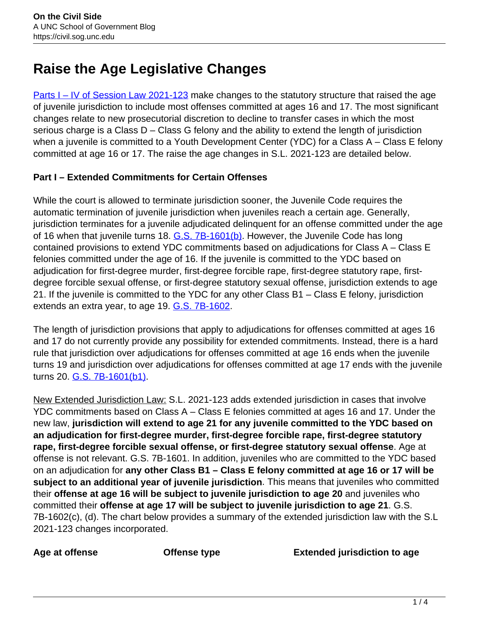# **Raise the Age Legislative Changes**

[Parts I – IV of Session Law 2021-123](https://www.ncleg.gov/EnactedLegislation/SessionLaws/HTML/2021-2022/SL2021-123.html) make changes to the statutory structure that raised the age of juvenile jurisdiction to include most offenses committed at ages 16 and 17. The most significant changes relate to new prosecutorial discretion to decline to transfer cases in which the most serious charge is a Class D – Class G felony and the ability to extend the length of jurisdiction when a juvenile is committed to a Youth Development Center (YDC) for a Class A – Class E felony committed at age 16 or 17. The raise the age changes in S.L. 2021-123 are detailed below.

## **Part I – Extended Commitments for Certain Offenses**

While the court is allowed to terminate jurisdiction sooner, the Juvenile Code requires the automatic termination of juvenile jurisdiction when juveniles reach a certain age. Generally, jurisdiction terminates for a juvenile adjudicated delinquent for an offense committed under the age of 16 when that juvenile turns 18. G.S. 7B-1601(b). However, the Juvenile Code has long contained provisions to extend YDC commitments based on adjudications for Class A – Class E felonies committed under the age of 16. If the juvenile is committed to the YDC based on adjudication for first-degree murder, first-degree forcible rape, first-degree statutory rape, firstdegree forcible sexual offense, or first-degree statutory sexual offense, jurisdiction extends to age 21. If the juvenile is committed to the YDC for any other Class B1 – Class E felony, jurisdiction extends an extra year, to age 19. **G.S. 7B-1602.** 

The length of jurisdiction provisions that apply to adjudications for offenses committed at ages 16 and 17 do not currently provide any possibility for extended commitments. Instead, there is a hard rule that jurisdiction over adjudications for offenses committed at age 16 ends when the juvenile turns 19 and jurisdiction over adjudications for offenses committed at age 17 ends with the juvenile turns 20. **G.S. 7B-1601(b1)**.

New Extended Jurisdiction Law: S.L. 2021-123 adds extended jurisdiction in cases that involve YDC commitments based on Class A – Class E felonies committed at ages 16 and 17. Under the new law, **jurisdiction will extend to age 21 for any juvenile committed to the YDC based on an adjudication for first-degree murder, first-degree forcible rape, first-degree statutory rape, first-degree forcible sexual offense, or first-degree statutory sexual offense**. Age at offense is not relevant. G.S. 7B-1601. In addition, juveniles who are committed to the YDC based on an adjudication for **any other Class B1 – Class E felony committed at age 16 or 17 will be subject to an additional year of juvenile jurisdiction**. This means that juveniles who committed their **offense at age 16 will be subject to juvenile jurisdiction to age 20** and juveniles who committed their **offense at age 17 will be subject to juvenile jurisdiction to age 21**. G.S. 7B-1602(c), (d). The chart below provides a summary of the extended jurisdiction law with the S.L 2021-123 changes incorporated.

**Age at offense Offense type Extended jurisdiction to age**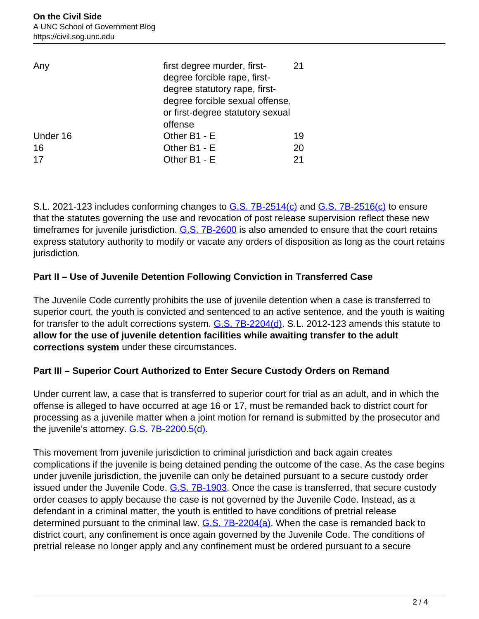| Any      | first degree murder, first-<br>degree forcible rape, first-<br>degree statutory rape, first-<br>degree forcible sexual offense,<br>or first-degree statutory sexual<br>offense | 21 |
|----------|--------------------------------------------------------------------------------------------------------------------------------------------------------------------------------|----|
| Under 16 | Other B1 - E                                                                                                                                                                   | 19 |
| 16       | Other B1 - E                                                                                                                                                                   | 20 |
| 17       | Other B1 - E                                                                                                                                                                   | 21 |

S.L. 2021-123 includes conforming changes to G.S. 7B-2514(c) and G.S. 7B-2516(c) to ensure that the statutes governing the use and revocation of post release supervision reflect these new timeframes for juvenile jurisdiction.  $G.S.$  7B-2600 is also amended to ensure that the court retains express statutory authority to modify or vacate any orders of disposition as long as the court retains jurisdiction.

## **Part II – Use of Juvenile Detention Following Conviction in Transferred Case**

The Juvenile Code currently prohibits the use of juvenile detention when a case is transferred to superior court, the youth is convicted and sentenced to an active sentence, and the youth is waiting for transfer to the adult corrections system. G.S. 7B-2204(d). S.L. 2012-123 amends this statute to **allow for the use of juvenile detention facilities while awaiting transfer to the adult corrections system** under these circumstances.

#### **Part III – Superior Court Authorized to Enter Secure Custody Orders on Remand**

Under current law, a case that is transferred to superior court for trial as an adult, and in which the offense is alleged to have occurred at age 16 or 17, must be remanded back to district court for processing as a juvenile matter when a joint motion for remand is submitted by the prosecutor and the juvenile's attorney. **G.S. 7B-2200.5(d)**.

This movement from juvenile jurisdiction to criminal jurisdiction and back again creates complications if the juvenile is being detained pending the outcome of the case. As the case begins under juvenile jurisdiction, the juvenile can only be detained pursuant to a secure custody order issued under the Juvenile Code. G.S. 7B-1903. Once the case is transferred, that secure custody order ceases to apply because the case is not governed by the Juvenile Code. Instead, as a defendant in a criminal matter, the youth is entitled to have conditions of pretrial release determined pursuant to the criminal law.  $G.S. 7B-2204(a)$ . When the case is remanded back to district court, any confinement is once again governed by the Juvenile Code. The conditions of pretrial release no longer apply and any confinement must be ordered pursuant to a secure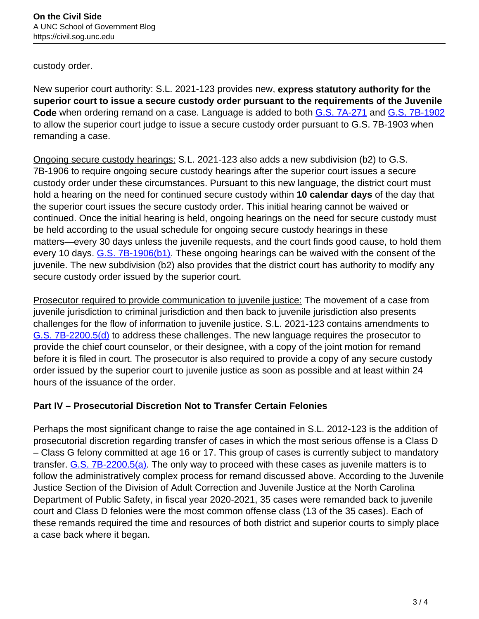custody order.

New superior court authority: S.L. 2021-123 provides new, **express statutory authority for the superior court to issue a secure custody order pursuant to the requirements of the Juvenile Code** when ordering remand on a case. Language is added to both G.S. 7A-271 and G.S. 7B-1902 to allow the superior court judge to issue a secure custody order pursuant to G.S. 7B-1903 when remanding a case.

Ongoing secure custody hearings: S.L. 2021-123 also adds a new subdivision (b2) to G.S. 7B-1906 to require ongoing secure custody hearings after the superior court issues a secure custody order under these circumstances. Pursuant to this new language, the district court must hold a hearing on the need for continued secure custody within **10 calendar days** of the day that the superior court issues the secure custody order. This initial hearing cannot be waived or continued. Once the initial hearing is held, ongoing hearings on the need for secure custody must be held according to the usual schedule for ongoing secure custody hearings in these matters—every 30 days unless the juvenile requests, and the court finds good cause, to hold them every 10 days. G.S. 7B-1906(b1). These ongoing hearings can be waived with the consent of the juvenile. The new subdivision (b2) also provides that the district court has authority to modify any secure custody order issued by the superior court.

Prosecutor required to provide communication to juvenile justice: The movement of a case from juvenile jurisdiction to criminal jurisdiction and then back to juvenile jurisdiction also presents challenges for the flow of information to juvenile justice. S.L. 2021-123 contains amendments to G.S. 7B-2200.5(d) to address these challenges. The new language requires the prosecutor to provide the chief court counselor, or their designee, with a copy of the joint motion for remand before it is filed in court. The prosecutor is also required to provide a copy of any secure custody order issued by the superior court to juvenile justice as soon as possible and at least within 24 hours of the issuance of the order.

#### **Part IV – Prosecutorial Discretion Not to Transfer Certain Felonies**

Perhaps the most significant change to raise the age contained in S.L. 2012-123 is the addition of prosecutorial discretion regarding transfer of cases in which the most serious offense is a Class D – Class G felony committed at age 16 or 17. This group of cases is currently subject to mandatory transfer. G.S. 7B-2200.5(a). The only way to proceed with these cases as juvenile matters is to follow the administratively complex process for remand discussed above. According to the Juvenile Justice Section of the Division of Adult Correction and Juvenile Justice at the North Carolina Department of Public Safety, in fiscal year 2020-2021, 35 cases were remanded back to juvenile court and Class D felonies were the most common offense class (13 of the 35 cases). Each of these remands required the time and resources of both district and superior courts to simply place a case back where it began.